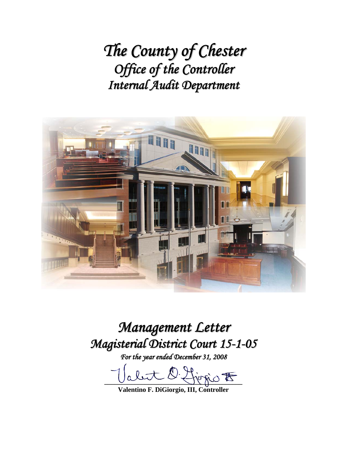*The County of Chester Office of the Controller Internal Audit Department*



*Management Letter Magisterial District Court 15-1-05*

*For the year ended December 31, 2008*

abut O. Ljegio E

**Valentino F. DiGiorgio, III, Controller**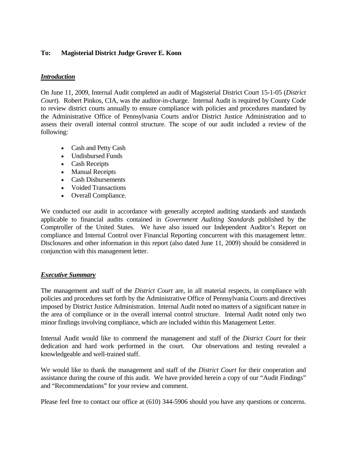## **To: Magisterial District Judge Grover E. Koon**

### *Introduction*

On June 11, 2009, Internal Audit completed an audit of Magisterial District Court 15-1-05 (*District Court*). Robert Pinkos, CIA, was the auditor-in-charge. Internal Audit is required by County Code to review district courts annually to ensure compliance with policies and procedures mandated by the Administrative Office of Pennsylvania Courts and/or District Justice Administration and to assess their overall internal control structure. The scope of our audit included a review of the following:

- Cash and Petty Cash
- Undisbursed Funds
- Cash Receipts
- Manual Receipts
- Cash Disbursements
- Voided Transactions
- Overall Compliance.

We conducted our audit in accordance with generally accepted auditing standards and standards applicable to financial audits contained in *Government Auditing Standards* published by the Comptroller of the United States. We have also issued our Independent Auditor's Report on compliance and Internal Control over Financial Reporting concurrent with this management letter. Disclosures and other information in this report (also dated June 11, 2009) should be considered in conjunction with this management letter.

### *Executive Summary*

The management and staff of the *District Court* are, in all material respects, in compliance with policies and procedures set forth by the Administrative Office of Pennsylvania Courts and directives imposed by District Justice Administration. Internal Audit noted no matters of a significant nature in the area of compliance or in the overall internal control structure. Internal Audit noted only two minor findings involving compliance, which are included within this Management Letter.

Internal Audit would like to commend the management and staff of the *District Court* for their dedication and hard work performed in the court. Our observations and testing revealed a knowledgeable and well-trained staff.

We would like to thank the management and staff of the *District Court* for their cooperation and assistance during the course of this audit. We have provided herein a copy of our "Audit Findings" and "Recommendations" for your review and comment.

Please feel free to contact our office at (610) 344-5906 should you have any questions or concerns.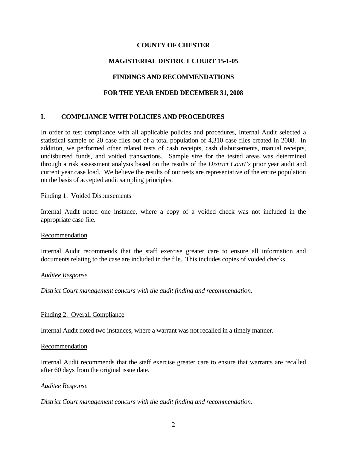### **COUNTY OF CHESTER**

# **MAGISTERIAL DISTRICT COURT 15-1-05**

## **FINDINGS AND RECOMMENDATIONS**

## **FOR THE YEAR ENDED DECEMBER 31, 2008**

## **I. COMPLIANCE WITH POLICIES AND PROCEDURES**

In order to test compliance with all applicable policies and procedures, Internal Audit selected a statistical sample of 20 case files out of a total population of 4,310 case files created in 2008. In addition, we performed other related tests of cash receipts, cash disbursements, manual receipts, undisbursed funds, and voided transactions. Sample size for the tested areas was determined through a risk assessment analysis based on the results of the *District Court's* prior year audit and current year case load. We believe the results of our tests are representative of the entire population on the basis of accepted audit sampling principles.

#### Finding 1: Voided Disbursements

Internal Audit noted one instance, where a copy of a voided check was not included in the appropriate case file.

#### Recommendation

Internal Audit recommends that the staff exercise greater care to ensure all information and documents relating to the case are included in the file. This includes copies of voided checks.

#### *Auditee Response*

*District Court management concurs with the audit finding and recommendation.* 

#### Finding 2: Overall Compliance

Internal Audit noted two instances, where a warrant was not recalled in a timely manner.

#### Recommendation

Internal Audit recommends that the staff exercise greater care to ensure that warrants are recalled after 60 days from the original issue date.

#### *Auditee Response*

*District Court management concurs with the audit finding and recommendation.*